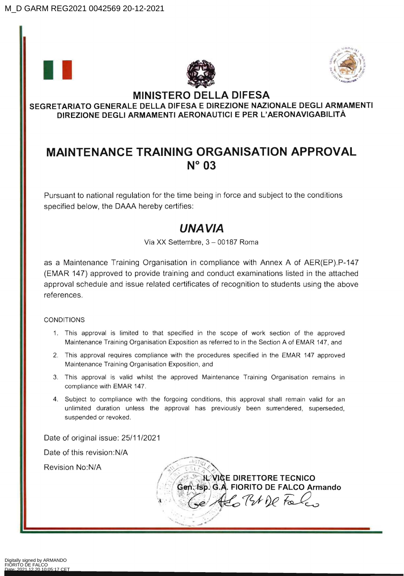





## **MINISTERO DELLA DIFESA SEGRETARIATO GENERALE DELLA DIFESA E DIREZIONE NAZIONALE DEGLI ARMAMENTI DIREZIONE DEGLI ARMAMENTI AERONAUTICI E PER L'AERONAVIGABILlTÀ**

## **MAINTENANCE TRAINING ORGANISATION APPROVAL N° 03**

Pursuant to national regulation for the time being in force and subject to the conditions specified below, the DAAA hereby certifies:

## UNA VIA

Via XX Settembre, 3 - 00187 Roma

as a Maintenance Training Organisation in compliance with Annex A of AER(EP).P-147 (EMAR 147) approved to provide training and conduct examinations listed in the attached approvai schedule and issue related certificates of recognition to students using the above references.

## CONDITIONS

- 1. This approval is limited to that specified in the scope of work section of the approved Maintenance Training Organisation Exposition as referred to in the Section A of EMAR 147, and
- 2. This approval requires compliance with the procedures specified in the EMAR 147 approved Maintenance Training Organisation Exposition, and
- 3. This approval is valid whilst the approved Maintenance Training Organisation remains in compliance with EMAR 147.
- 4. Subject to compliance with the forgoing conditions, this approval shall remain valid for an unlimited duration unless the approvai has previously been surrendered, superseded, suspended or revoked.

Date of originai issue: 25/11/2021

Date of this revision:N/A

Revision No:N/A

**E DIRETTORE TECNICO**  Gen. fsp. G.A. FIORITO DE FALCO Armando Alo Br De Falco